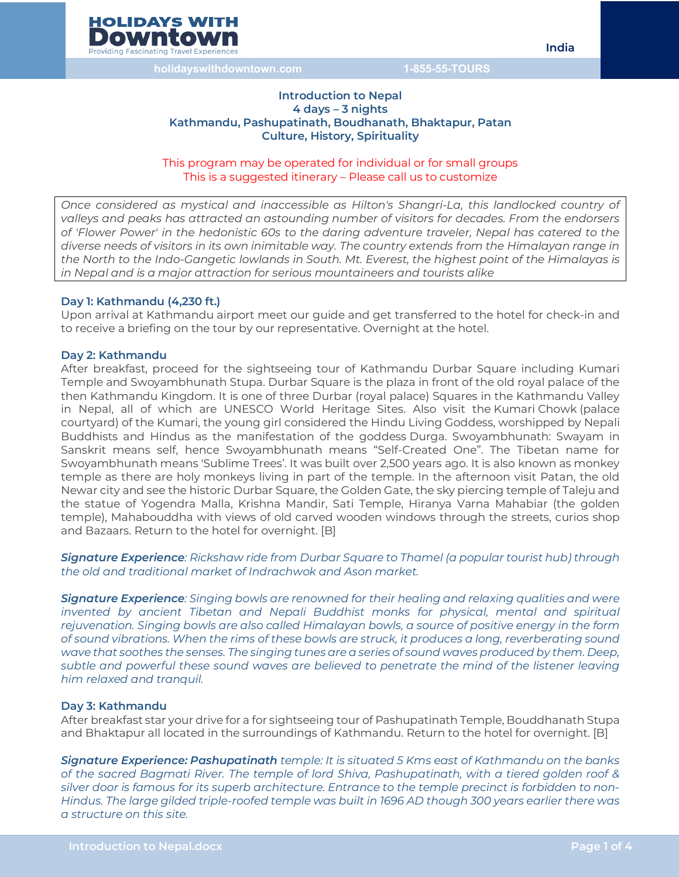

#### **Introduction to Nepal 4 days – 3 nights Kathmandu, Pashupatinath, Boudhanath, Bhaktapur, Patan Culture, History, Spirituality**

This program may be operated for individual or for small groups This is a suggested itinerary – Please call us to customize

*Once considered as mystical and inaccessible as Hilton's Shangri-La, this landlocked country of valleys and peaks has attracted an astounding number of visitors for decades. From the endorsers of 'Flower Power' in the hedonistic 60s to the daring adventure traveler, Nepal has catered to the diverse needs of visitors in its own inimitable way. The country extends from the Himalayan range in the North to the Indo-Gangetic lowlands in South. Mt. Everest, the highest point of the Himalayas is in Nepal and is a major attraction for serious mountaineers and tourists alike*

#### **Day 1: Kathmandu (4,230 ft.)**

Upon arrival at Kathmandu airport meet our guide and get transferred to the hotel for check-in and to receive a briefing on the tour by our representative. Overnight at the hotel.

#### **Day 2: Kathmandu**

After breakfast, proceed for the sightseeing tour of Kathmandu Durbar Square including Kumari Temple and Swoyambhunath Stupa. Durbar Square is the plaza in front of the old royal palace of the then Kathmandu Kingdom. It is one of three Durbar (royal palace) Squares in the Kathmandu Valley in Nepal, all of which are UNESCO World Heritage Sites. Also visit the Kumari Chowk (palace courtyard) of the Kumari, the young girl considered the Hindu Living Goddess, worshipped by Nepali Buddhists and Hindus as the manifestation of the goddess Durga. Swoyambhunath: Swayam in Sanskrit means self, hence Swoyambhunath means "Self-Created One". The Tibetan name for Swoyambhunath means 'Sublime Trees'. It was built over 2,500 years ago. It is also known as monkey temple as there are holy monkeys living in part of the temple. In the afternoon visit Patan, the old Newar city and see the historic Durbar Square, the Golden Gate, the sky piercing temple of Taleju and the statue of Yogendra Malla, Krishna Mandir, Sati Temple, Hiranya Varna Mahabiar (the golden temple), Mahabouddha with views of old carved wooden windows through the streets, curios shop and Bazaars. Return to the hotel for overnight. [B]

*Signature Experience: Rickshaw ride from Durbar Square to Thamel (a popular tourist hub) through the old and traditional market of Indrachwok and Ason market.* 

*Signature Experience: Singing bowls are renowned for their healing and relaxing qualities and were invented by ancient Tibetan and Nepali Buddhist monks for physical, mental and spiritual rejuvenation. Singing bowls are also called Himalayan bowls, a source of positive energy in the form of sound vibrations. When the rims of these bowls are struck, it produces a long, reverberating sound*  wave that soothes the senses. The singing tunes are a series of sound waves produced by them. Deep, *subtle and powerful these sound waves are believed to penetrate the mind of the listener leaving him relaxed and tranquil.*

#### **Day 3: Kathmandu**

After breakfast star your drive for a for sightseeing tour of Pashupatinath Temple, Bouddhanath Stupa and Bhaktapur all located in the surroundings of Kathmandu. Return to the hotel for overnight. [B]

*Signature Experience: Pashupatinath temple: It is situated 5 Kms east of Kathmandu on the banks of the sacred Bagmati River. The temple of lord Shiva, Pashupatinath, with a tiered golden roof & silver door is famous for its superb architecture. Entrance to the temple precinct is forbidden to non-Hindus. The large gilded triple-roofed temple was built in 1696 AD though 300 years earlier there was a structure on this site.*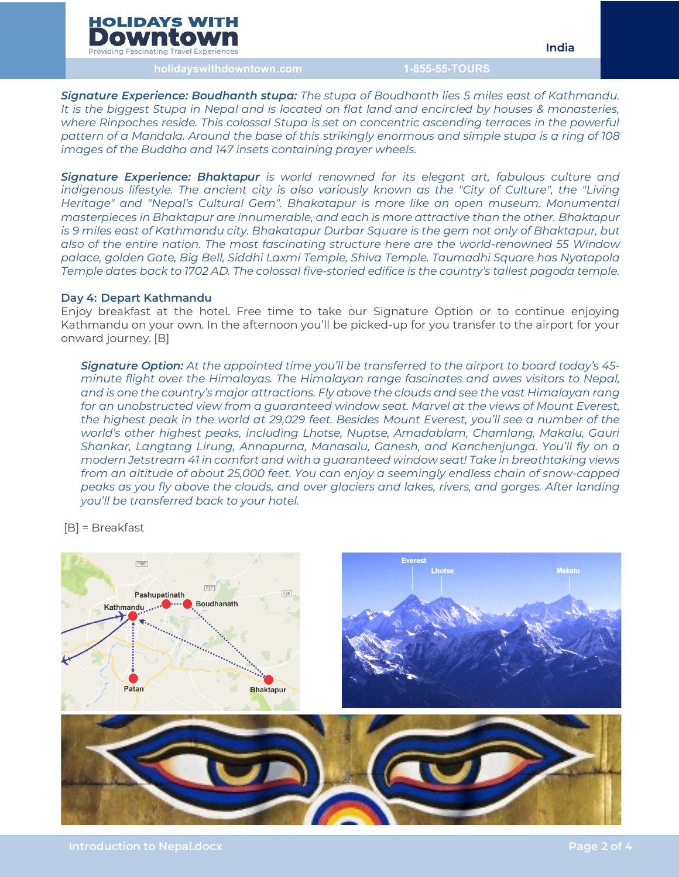# **HOLIDAYS WITH** Downtoy

**Providing Fascinating Travel Experiences** 

**India**

**holidayswithdowntown.com 1-855-55-TOURS**

*Signature Experience: Boudhanth stupa: The stupa of Boudhanth lies 5 miles east of Kathmandu. It is the biggest Stupa in Nepal and is located on flat land and encircled by houses & monasteries,*  where Rinpoches reside. This colossal Stupa is set on concentric ascending terraces in the powerful *pattern of a Mandala. Around the base of this strikingly enormous and simple stupa is a ring of 108 images of the Buddha and 147 insets containing prayer wheels.*

*Signature Experience: Bhaktapur is world renowned for its elegant art, fabulous culture and indigenous lifestyle. The ancient city is also variously known as the "City of Culture", the "Living Heritage" and "Nepal's Cultural Gem". Bhakatapur is more like an open museum. Monumental masterpieces in Bhaktapur are innumerable, and each is more attractive than the other. Bhaktapur is 9 miles east of Kathmandu city. Bhakatapur Durbar Square is the gem not only of Bhaktapur, but also of the entire nation. The most fascinating structure here are the world-renowned 55 Window palace, golden Gate, Big Bell, Siddhi Laxmi Temple, Shiva Temple. Taumadhi Square has Nyatapola Temple dates back to 1702 AD. The colossal five-storied edifice is the country's tallest pagoda temple.*

#### **Day 4: Depart Kathmandu**

Enjoy breakfast at the hotel. Free time to take our Signature Option or to continue enjoying Kathmandu on your own. In the afternoon you'll be picked-up for you transfer to the airport for your onward journey. [B]

*Signature Option: At the appointed time you'll be transferred to the airport to board today's 45 minute flight over the Himalayas. The Himalayan range fascinates and awes visitors to Nepal, and is one the country's major attractions. Fly above the clouds and see the vast Himalayan rang for an unobstructed view from a guaranteed window seat. Marvel at the views of Mount Everest, the highest peak in the world at 29,029 feet. Besides Mount Everest, you'll see a number of the world's other highest peaks, including Lhotse, Nuptse, Amadablam, Chamlang, Makalu, Gauri Shankar, Langtang Lirung, Annapurna, Manasalu, Ganesh, and Kanchenjunga. You'll fly on a modern Jetstream 41 in comfort and with a guaranteed window seat! Take in breathtaking views from an altitude of about 25,000 feet. You can enjoy a seemingly endless chain of snow-capped peaks as you fly above the clouds, and over glaciers and lakes, rivers, and gorges. After landing you'll be transferred back to your hotel.*

[B] = Breakfast

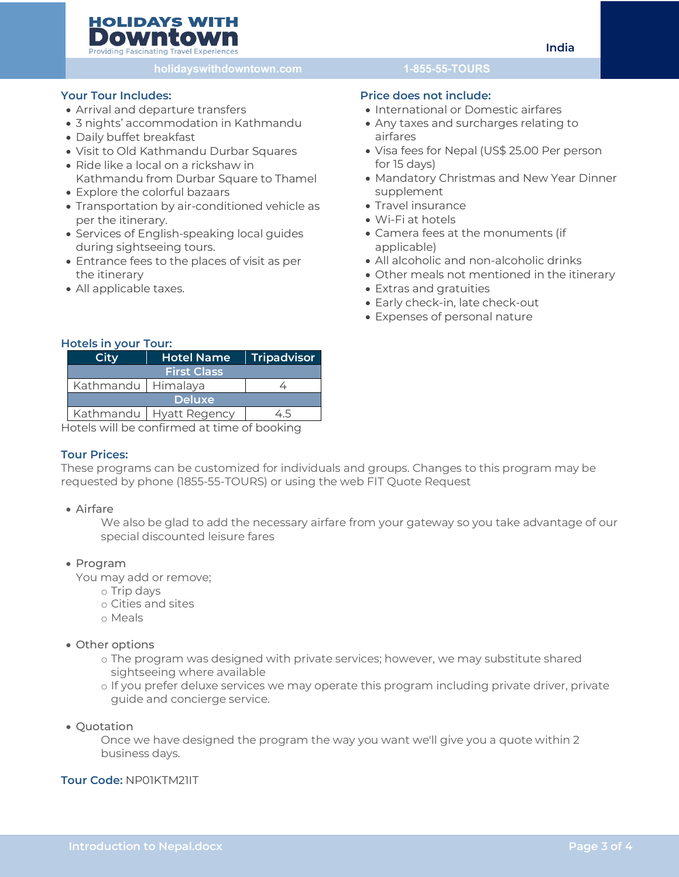# **HOLIDAYS WITH** Downtow

**Providing Fascinating Travel Experiences** 

**holidayswithdowntown.com 1-855-55-TOURS**

# **Your Tour Includes:**

- Arrival and departure transfers
- 3 nights' accommodation in Kathmandu
- Daily buffet breakfast
- Visit to Old Kathmandu Durbar Squares
- Ride like a local on a rickshaw in Kathmandu from Durbar Square to Thamel
- Explore the colorful bazaars
- Transportation by air-conditioned vehicle as per the itinerary.
- Services of English-speaking local guides during sightseeing tours.
- Entrance fees to the places of visit as per the itinerary
- All applicable taxes.

## **Price does not include:**

- International or Domestic airfares
- Any taxes and surcharges relating to airfares
- Visa fees for Nepal (US\$ 25.00 Per person for 15 days)
- Mandatory Christmas and New Year Dinner supplement
- Travel insurance
- Wi-Fi at hotels
- Camera fees at the monuments (if applicable)
- All alcoholic and non-alcoholic drinks
- Other meals not mentioned in the itinerary
- Extras and gratuities
- Early check-in, late check-out
- Expenses of personal nature

#### **Hotels in your Tour:**

| Citv               | <b>Hotel Name</b>         | Tripadvisor   |
|--------------------|---------------------------|---------------|
| <b>First Class</b> |                           |               |
| Kathmandu Himalaya |                           |               |
|                    | <b>Deluxe</b>             |               |
|                    | Kathmandu   Hyatt Regency | 4.5           |
| .                  |                           | $\sim$ $\sim$ |

Hotels will be confirmed at time of booking

## **Tour Prices:**

These programs can be customized for individuals and groups. Changes to this program may be requested by phone (1855-55-TOURS) or using the web FIT Quote Request

## • Airfare

We also be glad to add the necessary airfare from your gateway so you take advantage of our special discounted leisure fares

## • Program

You may add or remove;

- o Trip days
- o Cities and sites
- o Meals
- Other options
	- o The program was designed with private services; however, we may substitute shared sightseeing where available
	- o If you prefer deluxe services we may operate this program including private driver, private guide and concierge service.
- Quotation

Once we have designed the program the way you want we'll give you a quote within 2 business days.

# **Tour Code:** NP01KTM21IT